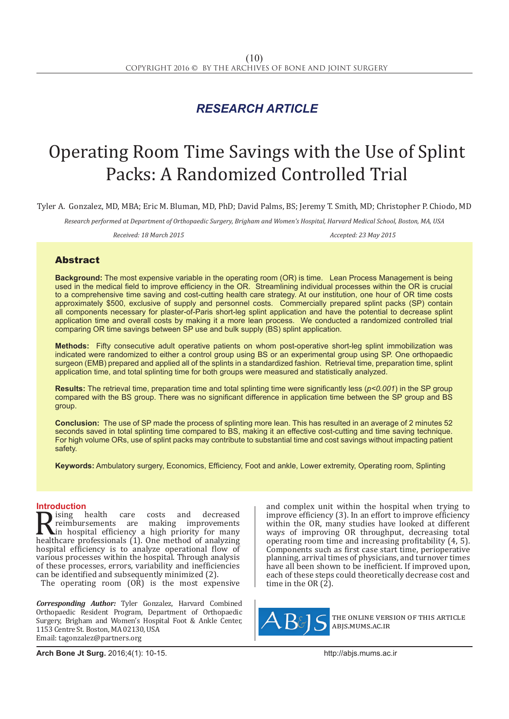## *RESEARCH ARTICLE*

# Operating Room Time Savings with the Use of Splint Packs: A Randomized Controlled Trial

Tyler A. Gonzalez, MD, MBA; Eric M. Bluman, MD, PhD; David Palms, BS; Jeremy T. Smith, MD; Christopher P. Chiodo, MD

*Research performed at Department of Orthopaedic Surgery, Brigham and Women's Hospital, Harvard Medical School, Boston, MA, USA* 

*Received: 18 March 2015 Accepted: 23 May 2015*

### Abstract

**Background:** The most expensive variable in the operating room (OR) is time. Lean Process Management is being used in the medical field to improve efficiency in the OR. Streamlining individual processes within the OR is crucial to a comprehensive time saving and cost-cutting health care strategy. At our institution, one hour of OR time costs approximately \$500, exclusive of supply and personnel costs. Commercially prepared splint packs (SP) contain all components necessary for plaster-of-Paris short-leg splint application and have the potential to decrease splint application time and overall costs by making it a more lean process. We conducted a randomized controlled trial comparing OR time savings between SP use and bulk supply (BS) splint application.

**Methods:**Fifty consecutive adult operative patients on whom post-operative short-leg splint immobilization was indicated were randomized to either a control group using BS or an experimental group using SP. One orthopaedic surgeon (EMB) prepared and applied all of the splints in a standardized fashion. Retrieval time, preparation time, splint application time, and total splinting time for both groups were measured and statistically analyzed.

**Results:** The retrieval time, preparation time and total splinting time were significantly less (*p<0.001*) in the SP group compared with the BS group. There was no significant difference in application time between the SP group and BS group.

**Conclusion:**The use of SP made the process of splinting more lean. This has resulted in an average of 2 minutes 52 seconds saved in total splinting time compared to BS, making it an effective cost-cutting and time saving technique. For high volume ORs, use of splint packs may contribute to substantial time and cost savings without impacting patient safety.

**Keywords:** Ambulatory surgery, Economics, Efficiency, Foot and ankle, Lower extremity, Operating room, Splinting

**Introduction**<br>**Intervalse is a set of the care Reserves A** reimbursements are costs and decreased<br>the reimbursements are making improvements<br>healthcare professionals (1). One method of analyzing<br>healthcare professionals (1). One method of analyzing<br>healthcare professi reimbursements are making improvements in hospital efficiency a high priority for many healthcare professionals (1). One method of analyzing hospital efficiency is to analyze operational flow of various processes within the hospital. Through analysis of these processes, errors, variability and inefficiencies can be identified and subsequently minimized (2).

The operating room  $(0\dot{R})$  is the most expensive

*Corresponding Author:* Tyler Gonzalez, Harvard Combined Orthopaedic Resident Program, Department of Orthopaedic Surgery, Brigham and Women's Hospital Foot & Ankle Center, 1153 Centre St. Boston, MA 02130, USA Email: tagonzalez@partners.org

and complex unit within the hospital when trying to improve efficiency (3). In an effort to improve efficiency within the OR, many studies have looked at different ways of improving OR throughput, decreasing total operating room time and increasing profitability (4, 5). Components such as first case start time, perioperative planning, arrival times of physicians, and turnover times have all been shown to be inefficient. If improved upon, each of these steps could theoretically decrease cost and time in the OR (2).



the online version of this article abjs.mums.ac.ir

**Arch Bone Jt Surg.** 2016;4(1): 10-15.http://abjs.mums.ac.ir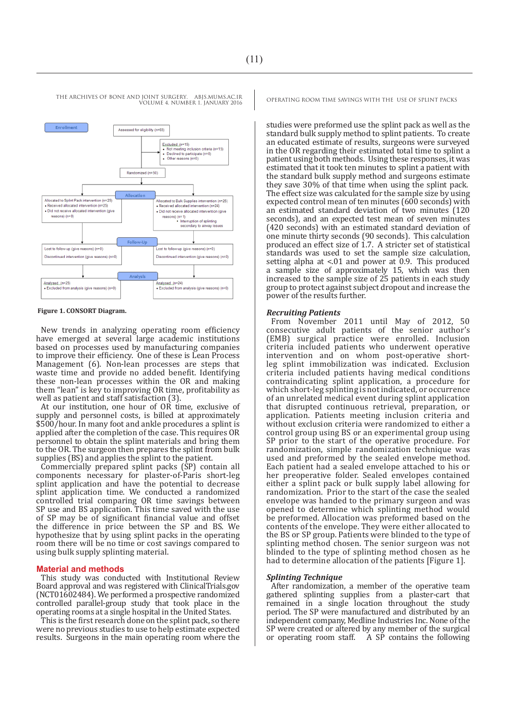

#### **Figure 1. CONSORT Diagram.**

New trends in analyzing operating room efficiency have emerged at several large academic institutions based on processes used by manufacturing companies to improve their efficiency. One of these is Lean Process Management (6). Non-lean processes are steps that waste time and provide no added benefit. Identifying these non-lean processes within the OR and making them "lean" is key to improving OR time, profitability as well as patient and staff satisfaction (3).

At our institution, one hour of OR time, exclusive of supply and personnel costs, is billed at approximately \$500/hour. In many foot and ankle procedures a splint is applied after the completion of the case. This requires OR personnel to obtain the splint materials and bring them to the OR. The surgeon then prepares the splint from bulk supplies (BS) and applies the splint to the patient.

Commercially prepared splint packs (SP) contain all components necessary for plaster-of-Paris short-leg splint application and have the potential to decrease splint application time. We conducted a randomized controlled trial comparing OR time savings between SP use and BS application. This time saved with the use of SP may be of significant financial value and offset the difference in price between the SP and BS. We hypothesize that by using splint packs in the operating room there will be no time or cost savings compared to using bulk supply splinting material.

#### **Material and methods**

This study was conducted with Institutional Review Board approval and was registered with ClinicalTrials.gov (NCT01602484). We performed a prospective randomized controlled parallel-group study that took place in the operating rooms at a single hospital in the United States.

This is the first research done on the splint pack, so there were no previous studies to use to help estimate expected results. Surgeons in the main operating room where the

studies were preformed use the splint pack as well as the standard bulk supply method to splint patients. To create an educated estimate of results, surgeons were surveyed in the OR regarding their estimated total time to splint a patient using both methods. Using these responses, it was estimated that it took ten minutes to splint a patient with the standard bulk supply method and surgeons estimate they save 30% of that time when using the splint pack. The effect size was calculated for the sample size by using expected control mean of ten minutes (600 seconds) with an estimated standard deviation of two minutes (120 seconds), and an expected test mean of seven minutes (420 seconds) with an estimated standard deviation of one minute thirty seconds (90 seconds). This calculation produced an effect size of 1.7. A stricter set of statistical standards was used to set the sample size calculation, setting alpha at <.01 and power at 0.9. This produced a sample size of approximately 15, which was then increased to the sample size of 25 patients in each study group to protect against subject dropout and increase the power of the results further.

#### *Recruiting Patients*

From November 2011 until May of 2012, 50 consecutive adult patients of the senior author's (EMB) surgical practice were enrolled. Inclusion criteria included patients who underwent operative intervention and on whom post-operative shortleg splint immobilization was indicated. Exclusion criteria included patients having medical conditions contraindicating splint application, a procedure for which short-leg splinting is not indicated, or occurrence of an unrelated medical event during splint application that disrupted continuous retrieval, preparation, or application. Patients meeting inclusion criteria and without exclusion criteria were randomized to either a control group using BS or an experimental group using SP prior to the start of the operative procedure. For randomization, simple randomization technique was used and preformed by the sealed envelope method. Each patient had a sealed envelope attached to his or her preoperative folder. Sealed envelopes contained either a splint pack or bulk supply label allowing for randomization. Prior to the start of the case the sealed envelope was handed to the primary surgeon and was opened to determine which splinting method would be preformed. Allocation was preformed based on the contents of the envelope. They were either allocated to the BS or SP group. Patients were blinded to the type of splinting method chosen. The senior surgeon was not blinded to the type of splinting method chosen as he had to determine allocation of the patients [Figure 1].

#### *Splinting Technique*

After randomization, a member of the operative team gathered splinting supplies from a plaster-cart that remained in a single location throughout the study period. The SP were manufactured and distributed by an independent company, Medline Industries Inc. None of the SP were created or altered by any member of the surgical or operating room staff. A SP contains the following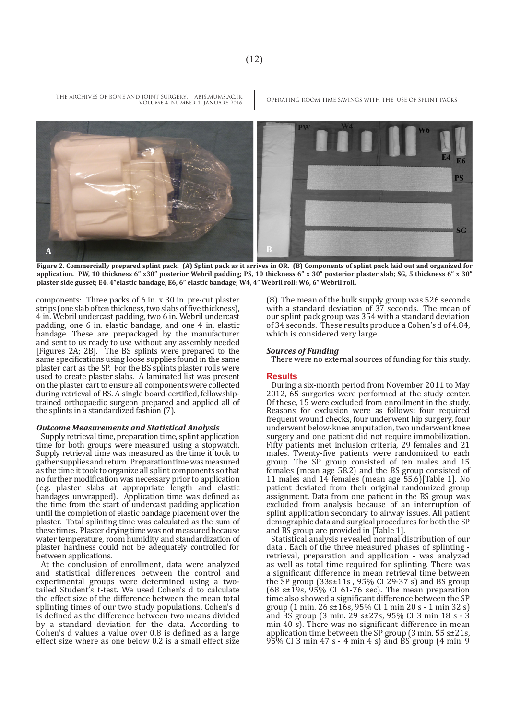

**Figure 2. Commercially prepared splint pack. (A) Splint pack as it arrives in OR. (B) Components of splint pack laid out and organized for application. PW, 10 thickness 6" x30" posterior Webril padding; PS, 10 thickness 6" x 30" posterior plaster slab; SG, 5 thickness 6" x 30" plaster side gusset; E4, 4"elastic bandage, E6, 6" elastic bandage; W4, 4" Webril roll; W6, 6" Webril roll.**

components: Three packs of 6 in. x 30 in. pre-cut plaster strips (one slab of ten thickness, two slabs of five thickness), 4 in. Webril undercast padding, two 6 in. Webril undercast padding, one 6 in. elastic bandage, and one 4 in. elastic bandage. These are prepackaged by the manufacturer and sent to us ready to use without any assembly needed [Figures 2A; 2B]. The BS splints were prepared to the same specifications using loose supplies found in the same plaster cart as the SP. For the BS splints plaster rolls were used to create plaster slabs. A laminated list was present on the plaster cart to ensure all components were collected during retrieval of BS. A single board-certified, fellowshiptrained orthopaedic surgeon prepared and applied all of the splints in a standardized fashion (7).

#### *Outcome Measurements and Statistical Analysis*

Supply retrieval time, preparation time, splint application time for both groups were measured using a stopwatch. Supply retrieval time was measured as the time it took to gather supplies and return. Preparation time was measured as the time it took to organize all splint components so that no further modification was necessary prior to application (e.g. plaster slabs at appropriate length and elastic bandages unwrapped). Application time was defined as the time from the start of undercast padding application until the completion of elastic bandage placement over the plaster. Total splinting time was calculated as the sum of these times. Plaster drying time was not measured because water temperature, room humidity and standardization of plaster hardness could not be adequately controlled for between applications.

At the conclusion of enrollment, data were analyzed and statistical differences between the control and experimental groups were determined using a twotailed Student's t-test. We used Cohen's d to calculate the effect size of the difference between the mean total splinting times of our two study populations. Cohen's d is defined as the difference between two means divided by a standard deviation for the data. According to Cohen's d values a value over 0.8 is defined as a large effect size where as one below 0.2 is a small effect size (8). The mean of the bulk supply group was 526 seconds with a standard deviation of 37 seconds. The mean of our splint pack group was 354 with a standard deviation of 34 seconds. These results produce a Cohen's d of 4.84, which is considered very large.

#### *Sources of Funding*

There were no external sources of funding for this study.

#### **Results**

During a six-month period from November 2011 to May 2012, 65 surgeries were performed at the study center. Of these, 15 were excluded from enrollment in the study. Reasons for exclusion were as follows: four required frequent wound checks, four underwent hip surgery, four underwent below-knee amputation, two underwent knee surgery and one patient did not require immobilization. Fifty patients met inclusion criteria, 29 females and 21 males. Twenty-five patients were randomized to each group. The SP group consisted of ten males and 15 females (mean age 58.2) and the BS group consisted of 11 males and 14 females (mean age 55.6)[Table 1]. No patient deviated from their original randomized group assignment. Data from one patient in the BS group was excluded from analysis because of an interruption of splint application secondary to airway issues. All patient demographic data and surgical procedures for both the SP and BS group are provided in [Table 1].

Statistical analysis revealed normal distribution of our data . Each of the three measured phases of splinting retrieval, preparation and application - was analyzed as well as total time required for splinting. There was a significant difference in mean retrieval time between the SP group  $(33s\pm11s, 95\% \text{ CI } 29-37 \text{ s})$  and BS group (68 s±19s, 95% CI 61-76 sec). The mean preparation time also showed a significant difference between the SP group (1 min. 26 s±16s, 95% CI 1 min 20 s - 1 min 32 s) and  $\overline{BS}$  group (3 min. 29 s±27s, 95% CI 3 min 18 s - 3 min 40 s). There was no significant difference in mean application time between the SP group (3 min. 55 s±21s,  $95\%$  CI 3 min 47 s - 4 min 4 s) and  $\overline{BS}$  group (4 min. 9

THE ARCHIVES OF BONE AND JOINT SURGERY. ABJS.MUMS.AC.IR OPERATING ROOM TIME SAVINGS WITH THE USE OF SPLINT PACKS

VOLUME 4. NUMBER 1. JANUARY 2016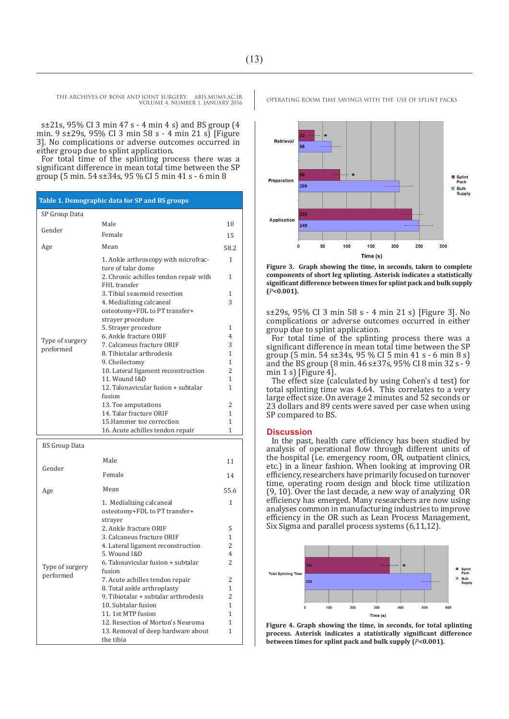s±21s, 95% CI 3 min 47 s - 4 min 4 s) and BS group (4 min. 9 s±29s, 95% CI 3 min 58 s - 4 min 21 s) [Figure 3]. No complications or adverse outcomes occurred in either group due to splint application.

For total time of the splinting process there was a significant difference in mean total time between the SP group (5 min. 54 s±34s, 95 % CI 5 min 41 s - 6 min 8

| Table 1. Demographic data for SP and BS groups |                                                                      |                |
|------------------------------------------------|----------------------------------------------------------------------|----------------|
| SP Group Data                                  |                                                                      |                |
| Gender                                         | Male                                                                 | 10             |
|                                                | Female                                                               | 15             |
| Age                                            | Mean                                                                 | 58.2           |
| Type of surgery<br>preformed                   | 1. Ankle arthroscopy with microfrac-<br>ture of talar dome           | 1              |
|                                                | 2. Chronic achilles tendon repair with<br>FHL transfer               | 1              |
|                                                | 3. Tibial seasmoid resection                                         | 1              |
|                                                | 4. Medializing calcaneal                                             | 3              |
|                                                | osteotomy+FDL to PT transfer+<br>strayer procedure                   |                |
|                                                | 5. Strayer procedure                                                 | 1              |
|                                                | 6. Ankle fracture ORIF                                               | 4              |
|                                                | 7. Calcaneus fracture ORIF                                           | 3              |
|                                                | 8. Tibiotalar arthrodesis                                            | $\mathbf{1}$   |
|                                                | 9. Cheilectomy                                                       | $\mathbf{1}$   |
|                                                | 10. Lateral ligament reconstruction                                  | $\overline{2}$ |
|                                                | 11. Wound I&D                                                        | 1              |
|                                                | 12. Talonavicular fusion + subtalar<br>fusion                        | 1              |
|                                                | 13. Toe amputations                                                  | 2              |
|                                                | 14. Talar fracture ORIF                                              | 1              |
|                                                | 15. Hammer toe correction                                            | 1              |
|                                                | 16. Acute achilles tendon repair                                     | 1              |
| <b>BS Group Data</b>                           |                                                                      |                |
| Gender                                         | Male                                                                 | 11             |
|                                                | Female                                                               | 14             |
| Age                                            | Mean                                                                 | 55.6           |
|                                                | 1. Medializing calcaneal<br>osteotomy+FDL to PT transfer+<br>strayer | 1              |

2. Ankle fracture ORIF 3. Calcaneus fracture ORIF 4. Lateral ligament reconstruction

6. Talonavicular fusion + subtalar

12. Resection of Morton's Neuroma 13. Removal of deep hardware about

7. Acute achilles tendon repair 8. Total ankle arthroplasty 9. Tibiotalar + subtalar arthrodesis

5. Wound I&D

10. Subtalar fusion 11. 1st MTP fusion

fusion

the tibia

Type of surgery performed

Retrieva 68 Splin<br>Pack Preparation **200 Bulk**<br>Supply **Application** 249  $\mathbf{c}$ 50 100 150 200 250 300 Time (s)

**Figure 3. Graph showing the time, in seconds, taken to complete components of short leg splinting. Asterisk indicates a statistically significant difference between times for splint pack and bulk supply (***P***<0.001).**

s±29s, 95% CI 3 min 58 s - 4 min 21 s) [Figure 3]. No complications or adverse outcomes occurred in either group due to splint application.

For total time of the splinting process there was a significant difference in mean total time between the SP group (5 min. 54 s±34s, 95 % CI 5 min 41 s - 6 min 8 s) and the BS group (8 min. 46 s±37s, 95% CI 8 min 32 s - 9 min 1 s) [Figure 4].

The effect size (calculated by using Cohen's d test) for total splinting time was 4.64. This correlates to a very large effect size. On average 2 minutes and 52 seconds or 23 dollars and 89 cents were saved per case when using SP compared to BS.

#### **Discussion**

In the past, health care efficiency has been studied by analysis of operational flow through different units of the hospital (i.e. emergency room, OR, outpatient clinics, etc.) in a linear fashion. When looking at improving OR efficiency, researchers have primarily focused on turnover time, operating room design and block time utilization (9, 10). Over the last decade, a new way of analyzing OR efficiency has emerged. Many researchers are now using analyses common in manufacturing industries to improve efficiency in the OR such as Lean Process Management, Six Sigma and parallel process systems (6,11,12).



**Figure 4. Graph showing the time, in seconds, for total splinting process. Asterisk indicates a statistically significant difference between times for splint pack and bulk supply (***P***<0.001).**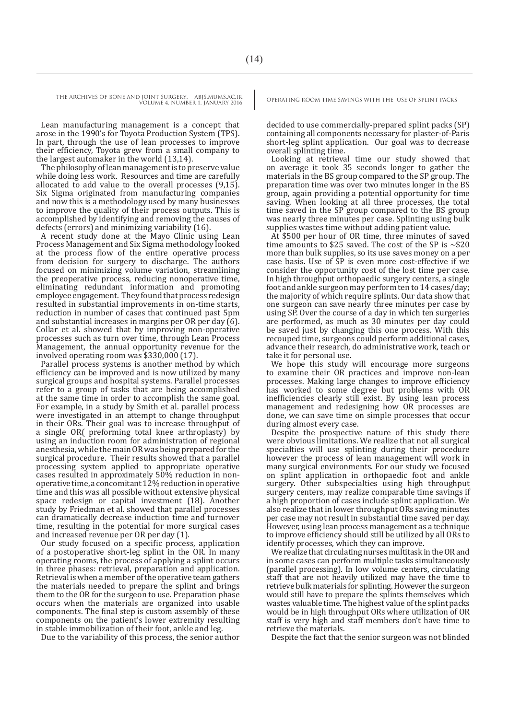Lean manufacturing management is a concept that arose in the 1990's for Toyota Production System (TPS). In part, through the use of lean processes to improve their efficiency, Toyota grew from a small company to the largest automaker in the world (13,14).

The philosophy of lean management is to preserve value while doing less work. Resources and time are carefully allocated to add value to the overall processes (9,15). Six Sigma originated from manufacturing companies and now this is a methodology used by many businesses to improve the quality of their process outputs. This is accomplished by identifying and removing the causes of defects (errors) and minimizing variability (16).

A recent study done at the Mayo Clinic using Lean Process Management and Six Sigma methodology looked at the process flow of the entire operative process from decision for surgery to discharge. The authors focused on minimizing volume variation, streamlining the preoperative process, reducing nonoperative time, eliminating redundant information and promoting employee engagement. They found that process redesign resulted in substantial improvements in on-time starts, reduction in number of cases that continued past 5pm and substantial increases in margins per OR per day (6). Collar et al. showed that by improving non-operative processes such as turn over time, through Lean Process Management, the annual opportunity revenue for the involved operating room was \$330,000 (17).

Parallel process systems is another method by which efficiency can be improved and is now utilized by many surgical groups and hospital systems. Parallel processes refer to a group of tasks that are being accomplished at the same time in order to accomplish the same goal. For example, in a study by Smith et al. parallel process were investigated in an attempt to change throughput in their ORs. Their goal was to increase throughput of a single OR( preforming total knee arthroplasty) by using an induction room for administration of regional anesthesia, while the main OR was being prepared for the surgical procedure. Their results showed that a parallel processing system applied to appropriate operative cases resulted in approximately 50% reduction in nonoperative time, a concomitant 12% reduction in operative time and this was all possible without extensive physical space redesign or capital investment (18). Another study by Friedman et al. showed that parallel processes can dramatically decrease induction time and turnover time, resulting in the potential for more surgical cases and increased revenue per OR per day (1).

Our study focused on a specific process, application of a postoperative short-leg splint in the OR. In many operating rooms, the process of applying a splint occurs in three phases: retrieval, preparation and application. Retrieval is when a member of the operative team gathers the materials needed to prepare the splint and brings them to the OR for the surgeon to use. Preparation phase occurs when the materials are organized into usable components. The final step is custom assembly of these components on the patient's lower extremity resulting in stable immobilization of their foot, ankle and leg.

Due to the variability of this process, the senior author

decided to use commercially-prepared splint packs (SP) containing all components necessary for plaster-of-Paris short-leg splint application. Our goal was to decrease overall splinting time.

Looking at retrieval time our study showed that on average it took 35 seconds longer to gather the materials in the BS group compared to the SP group. The preparation time was over two minutes longer in the BS group, again providing a potential opportunity for time saving. When looking at all three processes, the total time saved in the SP group compared to the BS group was nearly three minutes per case. Splinting using bulk supplies wastes time without adding patient value.

At \$500 per hour of OR time, three minutes of saved time amounts to \$25 saved. The cost of the SP is  $\sim$ \$20 more than bulk supplies, so its use saves money on a per case basis. Use of SP is even more cost-effective if we consider the opportunity cost of the lost time per case. In high throughput orthopaedic surgery centers, a single foot and ankle surgeon may perform ten to 14 cases/day; the majority of which require splints. Our data show that one surgeon can save nearly three minutes per case by using SP. Over the course of a day in which ten surgeries are performed, as much as 30 minutes per day could be saved just by changing this one process. With this recouped time, surgeons could perform additional cases, advance their research, do administrative work, teach or take it for personal use.

We hope this study will encourage more surgeons to examine their OR practices and improve non-lean processes. Making large changes to improve efficiency has worked to some degree but problems with OR inefficiencies clearly still exist. By using lean process management and redesigning how OR processes are done, we can save time on simple processes that occur during almost every case.

Despite the prospective nature of this study there were obvious limitations. We realize that not all surgical specialties will use splinting during their procedure however the process of lean management will work in many surgical environments. For our study we focused on splint application in orthopaedic foot and ankle surgery. Other subspecialties using high throughput surgery centers, may realize comparable time savings if a high proportion of cases include splint application. We also realize that in lower throughput ORs saving minutes per case may not result in substantial time saved per day. However, using lean process management as a technique to improve efficiency should still be utilized by all ORs to identify processes, which they can improve.

We realize that circulating nurses multitask in the OR and in some cases can perform multiple tasks simultaneously (parallel processing). In low volume centers, circulating staff that are not heavily utilized may have the time to retrieve bulk materials for splinting. However the surgeon would still have to prepare the splints themselves which wastes valuable time. The highest value of the splint packs would be in high throughput ORs where utilization of OR staff is very high and staff members don't have time to retrieve the materials.

Despite the fact that the senior surgeon was not blinded